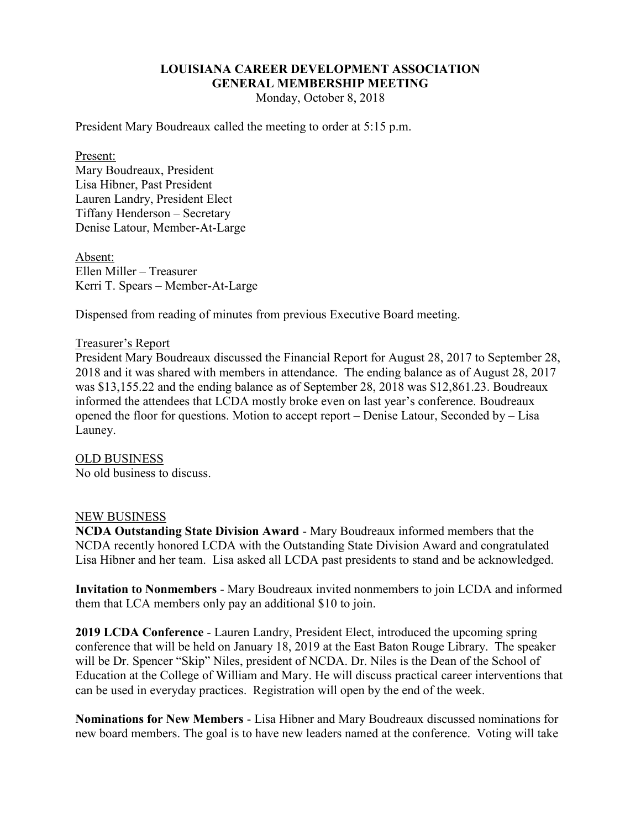# **LOUISIANA CAREER DEVELOPMENT ASSOCIATION GENERAL MEMBERSHIP MEETING**

Monday, October 8, 2018

President Mary Boudreaux called the meeting to order at 5:15 p.m.

#### Present:

Mary Boudreaux, President Lisa Hibner, Past President Lauren Landry, President Elect Tiffany Henderson – Secretary Denise Latour, Member-At-Large

Absent: Ellen Miller – Treasurer Kerri T. Spears – Member-At-Large

Dispensed from reading of minutes from previous Executive Board meeting.

### Treasurer's Report

President Mary Boudreaux discussed the Financial Report for August 28, 2017 to September 28, 2018 and it was shared with members in attendance. The ending balance as of August 28, 2017 was \$13,155.22 and the ending balance as of September 28, 2018 was \$12,861.23. Boudreaux informed the attendees that LCDA mostly broke even on last year's conference. Boudreaux opened the floor for questions. Motion to accept report – Denise Latour, Seconded by – Lisa Launey.

## OLD BUSINESS

No old business to discuss.

### NEW BUSINESS

**NCDA Outstanding State Division Award** - Mary Boudreaux informed members that the NCDA recently honored LCDA with the Outstanding State Division Award and congratulated Lisa Hibner and her team. Lisa asked all LCDA past presidents to stand and be acknowledged.

**Invitation to Nonmembers** - Mary Boudreaux invited nonmembers to join LCDA and informed them that LCA members only pay an additional \$10 to join.

**2019 LCDA Conference** - Lauren Landry, President Elect, introduced the upcoming spring conference that will be held on January 18, 2019 at the East Baton Rouge Library. The speaker will be Dr. Spencer "Skip" Niles, president of NCDA. Dr. Niles is the Dean of the School of Education at the College of William and Mary. He will discuss practical career interventions that can be used in everyday practices. Registration will open by the end of the week.

**Nominations for New Members** - Lisa Hibner and Mary Boudreaux discussed nominations for new board members. The goal is to have new leaders named at the conference. Voting will take